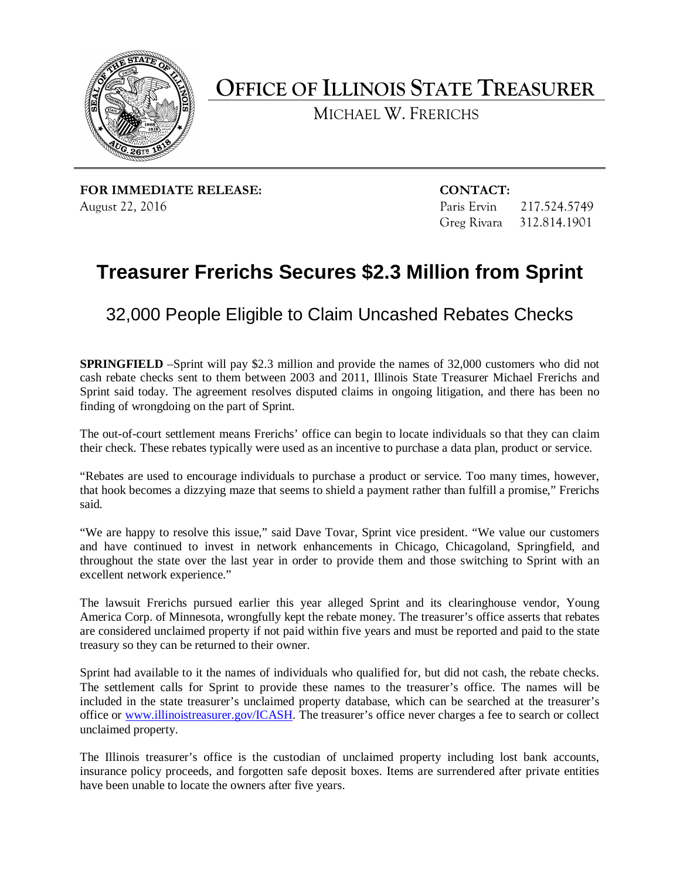

**OFFICE OF ILLINOIS STATE TREASURER**

MICHAEL W. FRERICHS

**FOR IMMEDIATE RELEASE: CONTACT:** August 22, 2016 **Paris Ervin 217.524.5749** 

Greg Rivara 312.814.1901

## **Treasurer Frerichs Secures \$2.3 Million from Sprint**

32,000 People Eligible to Claim Uncashed Rebates Checks

**SPRINGFIELD** –Sprint will pay \$2.3 million and provide the names of 32,000 customers who did not cash rebate checks sent to them between 2003 and 2011, Illinois State Treasurer Michael Frerichs and Sprint said today. The agreement resolves disputed claims in ongoing litigation, and there has been no finding of wrongdoing on the part of Sprint.

The out-of-court settlement means Frerichs' office can begin to locate individuals so that they can claim their check. These rebates typically were used as an incentive to purchase a data plan, product or service.

"Rebates are used to encourage individuals to purchase a product or service. Too many times, however, that hook becomes a dizzying maze that seems to shield a payment rather than fulfill a promise," Frerichs said.

"We are happy to resolve this issue," said Dave Tovar, Sprint vice president. "We value our customers and have continued to invest in network enhancements in Chicago, Chicagoland, Springfield, and throughout the state over the last year in order to provide them and those switching to Sprint with an excellent network experience."

The lawsuit Frerichs pursued earlier this year alleged Sprint and its clearinghouse vendor, Young America Corp. of Minnesota, wrongfully kept the rebate money. The treasurer's office asserts that rebates are considered unclaimed property if not paid within five years and must be reported and paid to the state treasury so they can be returned to their owner.

Sprint had available to it the names of individuals who qualified for, but did not cash, the rebate checks. The settlement calls for Sprint to provide these names to the treasurer's office. The names will be included in the state treasurer's unclaimed property database, which can be searched at the treasurer's office or [www.illinoistreasurer.gov/ICASH.](http://www.illinoistreasurer.gov/ICASH) The treasurer's office never charges a fee to search or collect unclaimed property.

The Illinois treasurer's office is the custodian of unclaimed property including lost bank accounts, insurance policy proceeds, and forgotten safe deposit boxes. Items are surrendered after private entities have been unable to locate the owners after five years.